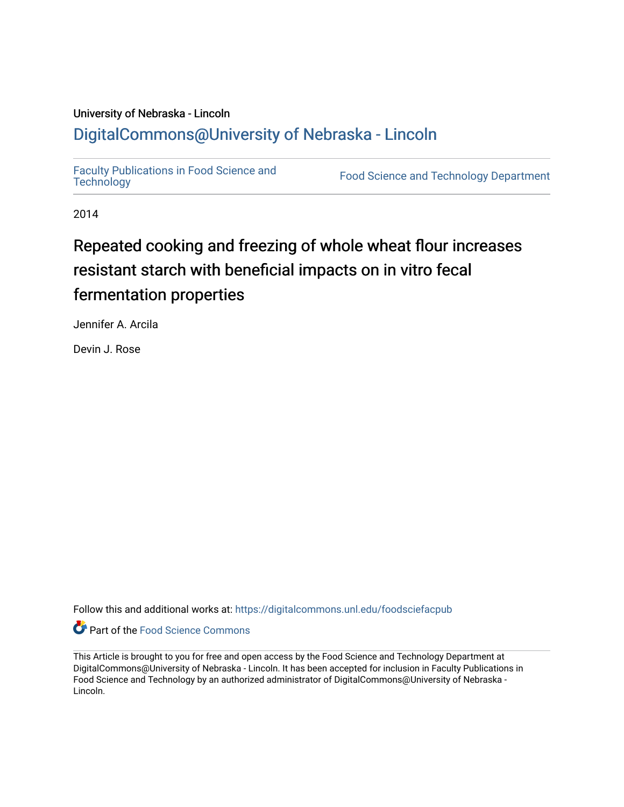## University of Nebraska - Lincoln [DigitalCommons@University of Nebraska - Lincoln](https://digitalcommons.unl.edu/)

[Faculty Publications in Food Science and](https://digitalcommons.unl.edu/foodsciefacpub)

Food Science and [Technology](https://digitalcommons.unl.edu/foodsciefacpub) Department

2014

# Repeated cooking and freezing of whole wheat flour increases resistant starch with beneficial impacts on in vitro fecal fermentation properties

Jennifer A. Arcila

Devin J. Rose

Follow this and additional works at: [https://digitalcommons.unl.edu/foodsciefacpub](https://digitalcommons.unl.edu/foodsciefacpub?utm_source=digitalcommons.unl.edu%2Ffoodsciefacpub%2F432&utm_medium=PDF&utm_campaign=PDFCoverPages) 



This Article is brought to you for free and open access by the Food Science and Technology Department at DigitalCommons@University of Nebraska - Lincoln. It has been accepted for inclusion in Faculty Publications in Food Science and Technology by an authorized administrator of DigitalCommons@University of Nebraska -Lincoln.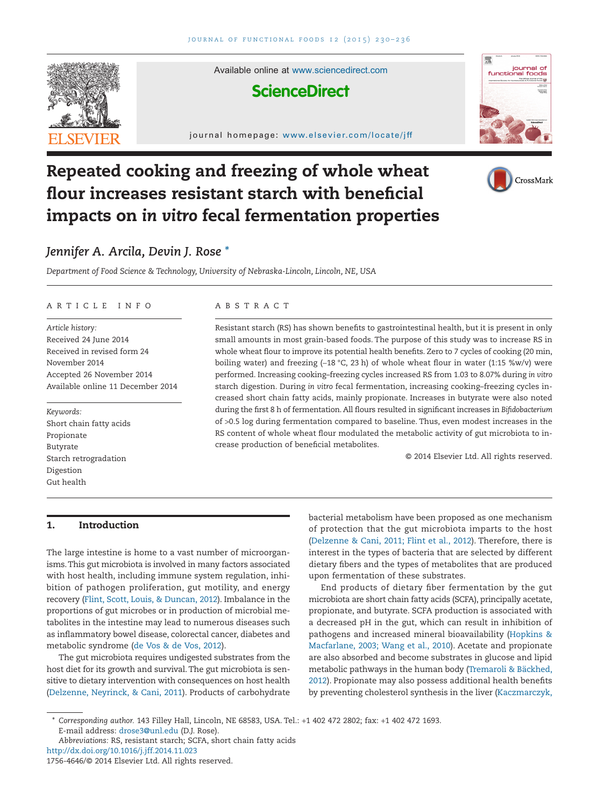

Available online at [www.sciencedirect.com](http://www.sciencedirect.com/science/journal/17564646)

### **ScienceDirect**

journal homepage: www.elsevier.com/locate/jff



CrossMark

## **Repeated cooking and freezing of whole wheat flour increases resistant starch with beneficial impacts on** *in vitro* **fecal fermentation properties**

### *Jennifer A. Arcila, Devin J. Rose [\\*](#page-1-0)*

*Department of Food Science & Technology, University of Nebraska-Lincoln, Lincoln, NE, USA*

#### ARTICLE INFO

*Article history:* Received 24 June 2014 Received in revised form 24 November 2014 Accepted 26 November 2014 Available online 11 December 2014

*Keywords:* Short chain fatty acids Propionate Butyrate Starch retrogradation Digestion Gut health

#### ABSTRACT

Resistant starch (RS) has shown benefits to gastrointestinal health, but it is present in only small amounts in most grain-based foods. The purpose of this study was to increase RS in whole wheat flour to improve its potential health benefits. Zero to 7 cycles of cooking (20 min, boiling water) and freezing (−18 °C, 23 h) of whole wheat flour in water (1:15 %w/v) were performed. Increasing cooking–freezing cycles increased RS from 1.03 to 8.07% during *in vitro* starch digestion. During *in vitro* fecal fermentation, increasing cooking–freezing cycles increased short chain fatty acids, mainly propionate. Increases in butyrate were also noted during the first 8 h of fermentation. All flours resulted in significant increases in *Bifidobacterium* of >0.5 log during fermentation compared to baseline. Thus, even modest increases in the RS content of whole wheat flour modulated the metabolic activity of gut microbiota to increase production of beneficial metabolites.

© 2014 Elsevier Ltd. All rights reserved.

#### **1. Introduction**

The large intestine is home to a vast number of microorganisms.This gut microbiota is involved in many factors associated with host health, including immune system regulation, inhibition of pathogen proliferation, gut motility, and energy recovery [\(Flint, Scott, Louis, & Duncan, 2012\)](#page-6-0). Imbalance in the proportions of gut microbes or in production of microbial metabolites in the intestine may lead to numerous diseases such as inflammatory bowel disease, colorectal cancer, diabetes and metabolic syndrome [\(de Vos & de Vos, 2012\)](#page-6-1).

The gut microbiota requires undigested substrates from the host diet for its growth and survival. The gut microbiota is sensitive to dietary intervention with consequences on host health [\(Delzenne, Neyrinck, & Cani, 2011\)](#page-6-2). Products of carbohydrate

bacterial metabolism have been proposed as one mechanism of protection that the gut microbiota imparts to the host [\(Delzenne & Cani, 2011; Flint et al., 2012\)](#page-6-3). Therefore, there is interest in the types of bacteria that are selected by different dietary fibers and the types of metabolites that are produced upon fermentation of these substrates.

End products of dietary fiber fermentation by the gut microbiota are short chain fatty acids (SCFA), principally acetate, propionate, and butyrate. SCFA production is associated with a decreased pH in the gut, which can result in inhibition of pathogens and increased mineral bioavailability [\(Hopkins &](#page-6-4) [Macfarlane, 2003; Wang et al., 2010\)](#page-6-4). Acetate and propionate are also absorbed and become substrates in glucose and lipid metabolic pathways in the human body [\(Tremaroli & Bäckhed,](#page-7-0) [2012\)](#page-7-0). Propionate may also possess additional health benefits by preventing cholesterol synthesis in the liver [\(Kaczmarczyk,](#page-6-5)

<span id="page-1-0"></span><sup>\*</sup> *Corresponding author.* 143 Filley Hall, Lincoln, NE 68583, USA. Tel.: +1 402 472 2802; fax: +1 402 472 1693. E-mail address: [drose3@unl.edu](mailto:drose3@unl.edu) (D.J. Rose).

*Abbreviations:* RS, resistant starch; SCFA, short chain fatty acids http://dx.doi.org/10.1016/j.jff.2014.11.023

<sup>1756-4646/© 2014</sup> Elsevier Ltd. All rights reserved.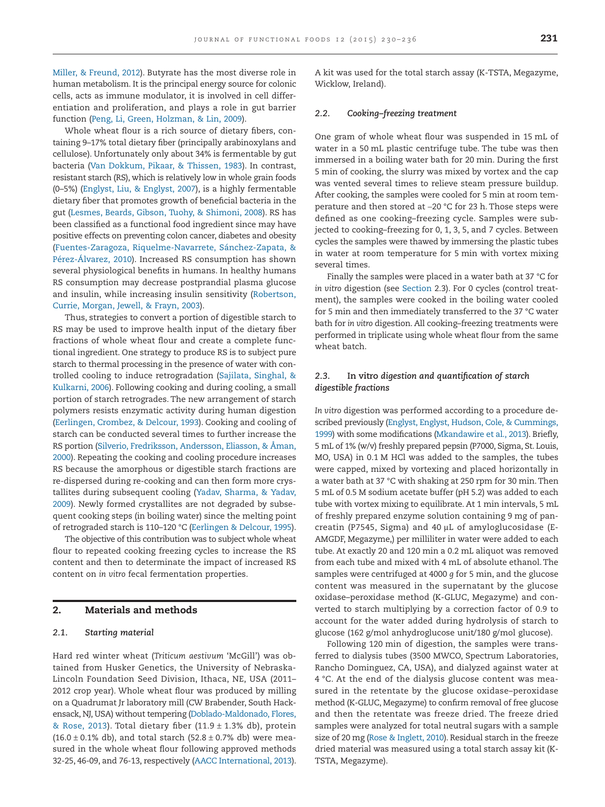[Miller, & Freund, 2012\)](#page-6-5). Butyrate has the most diverse role in human metabolism. It is the principal energy source for colonic cells, acts as immune modulator, it is involved in cell differentiation and proliferation, and plays a role in gut barrier function [\(Peng, Li, Green, Holzman, & Lin, 2009\)](#page-6-6).

Whole wheat flour is a rich source of dietary fibers, containing 9–17% total dietary fiber (principally arabinoxylans and cellulose). Unfortunately only about 34% is fermentable by gut bacteria [\(Van Dokkum, Pikaar, & Thissen, 1983\)](#page-7-1). In contrast, resistant starch (RS), which is relatively low in whole grain foods (0–5%) [\(Englyst, Liu, & Englyst, 2007\)](#page-6-7), is a highly fermentable dietary fiber that promotes growth of beneficial bacteria in the gut [\(Lesmes, Beards, Gibson, Tuohy, & Shimoni, 2008\)](#page-6-8). RS has been classified as a functional food ingredient since may have positive effects on preventing colon cancer, diabetes and obesity [\(Fuentes-Zaragoza, Riquelme-Navarrete, Sánchez-Zapata, &](#page-6-9) [Pérez-Álvarez, 2010\)](#page-6-9). Increased RS consumption has shown several physiological benefits in humans. In healthy humans RS consumption may decrease postprandial plasma glucose and insulin, while increasing insulin sensitivity [\(Robertson,](#page-6-10) [Currie, Morgan, Jewell, & Frayn, 2003\)](#page-6-10).

Thus, strategies to convert a portion of digestible starch to RS may be used to improve health input of the dietary fiber fractions of whole wheat flour and create a complete functional ingredient. One strategy to produce RS is to subject pure starch to thermal processing in the presence of water with controlled cooling to induce retrogradation [\(Sajilata, Singhal, &](#page-7-2) [Kulkarni, 2006\)](#page-7-2). Following cooking and during cooling, a small portion of starch retrogrades. The new arrangement of starch polymers resists enzymatic activity during human digestion [\(Eerlingen, Crombez, & Delcour, 1993\)](#page-6-11). Cooking and cooling of starch can be conducted several times to further increase the RS portion [\(Silverio, Fredriksson, Andersson, Eliasson, & Åman,](#page-7-3) [2000\)](#page-7-3). Repeating the cooking and cooling procedure increases RS because the amorphous or digestible starch fractions are re-dispersed during re-cooking and can then form more crystallites during subsequent cooling [\(Yadav, Sharma, & Yadav,](#page-7-4) [2009\)](#page-7-4). Newly formed crystallites are not degraded by subsequent cooking steps (in boiling water) since the melting point of retrograded starch is 110–120 °C [\(Eerlingen & Delcour, 1995\)](#page-6-12).

The objective of this contribution was to subject whole wheat flour to repeated cooking freezing cycles to increase the RS content and then to determinate the impact of increased RS content on *in vitro* fecal fermentation properties.

#### **2. Materials and methods**

#### *2.1. Starting material*

Hard red winter wheat (*Triticum aestivum* 'McGill') was obtained from Husker Genetics, the University of Nebraska-Lincoln Foundation Seed Division, Ithaca, NE, USA (2011– 2012 crop year). Whole wheat flour was produced by milling on a Quadrumat Jr laboratory mill (CW Brabender, South Hackensack, NJ, USA) without tempering [\(Doblado-Maldonado, Flores,](#page-6-13) [& Rose, 2013\)](#page-6-13). Total dietary fiber (11.9  $\pm$  1.3% db), protein  $(16.0 \pm 0.1\%$  db), and total starch  $(52.8 \pm 0.7\%$  db) were measured in the whole wheat flour following approved methods 32-25, 46-09, and 76-13, respectively [\(AACC International, 2013\)](#page-6-14).

A kit was used for the total starch assay (K-TSTA, Megazyme, Wicklow, Ireland).

#### *2.2. Cooking–freezing treatment*

One gram of whole wheat flour was suspended in 15 mL of water in a 50 mL plastic centrifuge tube. The tube was then immersed in a boiling water bath for 20 min. During the first 5 min of cooking, the slurry was mixed by vortex and the cap was vented several times to relieve steam pressure buildup. After cooking, the samples were cooled for 5 min at room temperature and then stored at −20 °C for 23 h. Those steps were defined as one cooking–freezing cycle. Samples were subjected to cooking–freezing for 0, 1, 3, 5, and 7 cycles. Between cycles the samples were thawed by immersing the plastic tubes in water at room temperature for 5 min with vortex mixing several times.

Finally the samples were placed in a water bath at 37 °C for *in vitro* digestion (see Section 2.3). For 0 cycles (control treatment), the samples were cooked in the boiling water cooled for 5 min and then immediately transferred to the 37 °C water bath for *in vitro* digestion. All cooking–freezing treatments were performed in triplicate using whole wheat flour from the same wheat batch.

#### *2.3.* **In vitro** *digestion and quantification of starch digestible fractions*

*In vitro* digestion was performed according to a procedure described previously [\(Englyst, Englyst, Hudson, Cole, & Cummings,](#page-6-15) [1999\)](#page-6-15) with some modifications [\(Mkandawire et al., 2013\)](#page-6-16). Briefly, 5 mL of 1% (w/v) freshly prepared pepsin (P7000, Sigma, St. Louis, MO, USA) in 0.1 M HCl was added to the samples, the tubes were capped, mixed by vortexing and placed horizontally in a water bath at 37 °C with shaking at 250 rpm for 30 min. Then 5 mL of 0.5 M sodium acetate buffer (pH 5.2) was added to each tube with vortex mixing to equilibrate. At 1 min intervals, 5 mL of freshly prepared enzyme solution containing 9 mg of pancreatin (P7545, Sigma) and 40  $\mu$ L of amyloglucosidase (E-AMGDF, Megazyme,) per milliliter in water were added to each tube. At exactly 20 and 120 min a 0.2 mL aliquot was removed from each tube and mixed with 4 mL of absolute ethanol. The samples were centrifuged at 4000 *g* for 5 min, and the glucose content was measured in the supernatant by the glucose oxidase–peroxidase method (K-GLUC, Megazyme) and converted to starch multiplying by a correction factor of 0.9 to account for the water added during hydrolysis of starch to glucose (162 g/mol anhydroglucose unit/180 g/mol glucose).

Following 120 min of digestion, the samples were transferred to dialysis tubes (3500 MWCO, Spectrum Laboratories, Rancho Dominguez, CA, USA), and dialyzed against water at 4 °C. At the end of the dialysis glucose content was measured in the retentate by the glucose oxidase–peroxidase method (K-GLUC, Megazyme) to confirm removal of free glucose and then the retentate was freeze dried. The freeze dried samples were analyzed for total neutral sugars with a sample size of 20 mg [\(Rose & Inglett, 2010\)](#page-6-17). Residual starch in the freeze dried material was measured using a total starch assay kit (K-TSTA, Megazyme).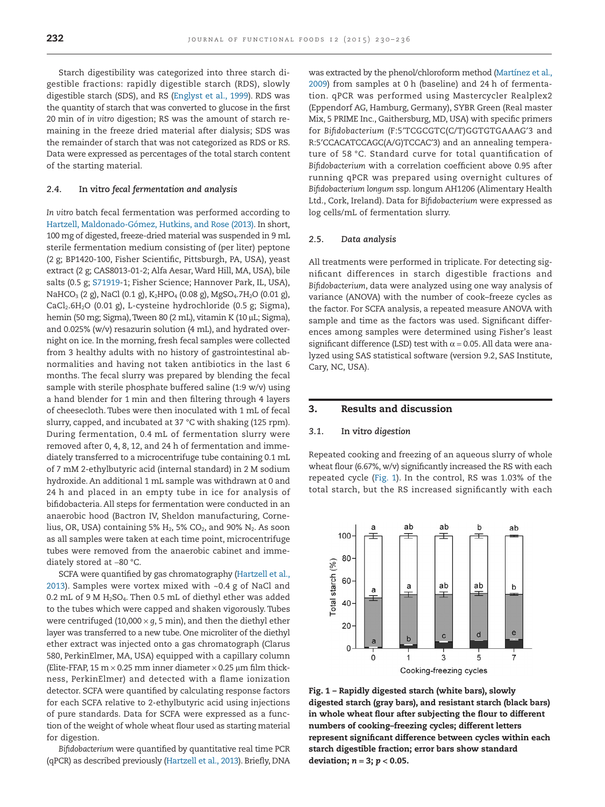Starch digestibility was categorized into three starch digestible fractions: rapidly digestible starch (RDS), slowly digestible starch (SDS), and RS [\(Englyst et al., 1999\)](#page-6-15). RDS was the quantity of starch that was converted to glucose in the first 20 min of *in vitro* digestion; RS was the amount of starch remaining in the freeze dried material after dialysis; SDS was the remainder of starch that was not categorized as RDS or RS. Data were expressed as percentages of the total starch content of the starting material.

#### *2.4.* **In vitro** *fecal fermentation and analysis*

*In vitro* batch fecal fermentation was performed according to [Hartzell, Maldonado-Gómez, Hutkins, and Rose \(2013\).](#page-6-18) In short, 100 mg of digested, freeze-dried material was suspended in 9 mL sterile fermentation medium consisting of (per liter) peptone (2 g; BP1420-100, Fisher Scientific, Pittsburgh, PA, USA), yeast extract (2 g; CAS8013-01-2; Alfa Aesar,Ward Hill, MA, USA), bile salts (0.5 g; S71919-1; Fisher Science; Hannover Park, IL, USA), NaHCO<sub>3</sub> (2 g), NaCl (0.1 g), K<sub>2</sub>HPO<sub>4</sub> (0.08 g), MgSO<sub>4</sub>.7H<sub>2</sub>O (0.01 g), CaCl<sub>2</sub>.6H<sub>2</sub>O (0.01 g), L-cysteine hydrochloride (0.5 g; Sigma), hemin (50 mg; Sigma), Tween 80 (2 mL), vitamin K (10 µL; Sigma), and 0.025% (w/v) resazurin solution (4 mL), and hydrated overnight on ice. In the morning, fresh fecal samples were collected from 3 healthy adults with no history of gastrointestinal abnormalities and having not taken antibiotics in the last 6 months. The fecal slurry was prepared by blending the fecal sample with sterile phosphate buffered saline (1:9 w/v) using a hand blender for 1 min and then filtering through 4 layers of cheesecloth. Tubes were then inoculated with 1 mL of fecal slurry, capped, and incubated at 37 °C with shaking (125 rpm). During fermentation, 0.4 mL of fermentation slurry were removed after 0, 4, 8, 12, and 24 h of fermentation and immediately transferred to a microcentrifuge tube containing 0.1 mL of 7 mM 2-ethylbutyric acid (internal standard) in 2 M sodium hydroxide. An additional 1 mL sample was withdrawn at 0 and 24 h and placed in an empty tube in ice for analysis of bifidobacteria. All steps for fermentation were conducted in an anaerobic hood (Bactron IV, Sheldon manufacturing, Cornelius, OR, USA) containing 5%  $H_2$ , 5% CO<sub>2</sub>, and 90%  $N_2$ . As soon as all samples were taken at each time point, microcentrifuge tubes were removed from the anaerobic cabinet and immediately stored at −80 °C.

SCFA were quantified by gas chromatography [\(Hartzell et al.,](#page-6-18) [2013\)](#page-6-18). Samples were vortex mixed with ~0.4 g of NaCl and 0.2 mL of 9 M  $H<sub>2</sub>SO<sub>4</sub>$ . Then 0.5 mL of diethyl ether was added to the tubes which were capped and shaken vigorously. Tubes were centrifuged (10,000  $\times$  *g*, 5 min), and then the diethyl ether layer was transferred to a new tube. One microliter of the diethyl ether extract was injected onto a gas chromatograph (Clarus 580, PerkinElmer, MA, USA) equipped with a capillary column (Elite-FFAP, 15 m  $\times$  0.25 mm inner diameter  $\times$  0.25  $\mu$ m film thickness, PerkinElmer) and detected with a flame ionization detector. SCFA were quantified by calculating response factors for each SCFA relative to 2-ethylbutyric acid using injections of pure standards. Data for SCFA were expressed as a function of the weight of whole wheat flour used as starting material for digestion.

*Bifidobacterium* were quantified by quantitative real time PCR (qPCR) as described previously [\(Hartzell et al., 2013\)](#page-6-18). Briefly, DNA

was extracted by the phenol/chloroform method [\(Martínez et al.,](#page-6-19) [2009\)](#page-6-19) from samples at 0 h (baseline) and 24 h of fermentation. qPCR was performed using Mastercycler Realplex2 (Eppendorf AG, Hamburg, Germany), SYBR Green (Real master Mix, 5 PRIME Inc., Gaithersburg, MD, USA) with specific primers for *Bifidobacterium* (F:5′TCGCGTC(C/T)GGTGTGAAAG′3 and R:5′CCACATCCAGC(A/G)TCCAC′3) and an annealing temperature of 58 °C. Standard curve for total quantification of *Bifidobacterium* with a correlation coefficient above 0.95 after running qPCR was prepared using overnight cultures of *Bifidobacterium longum* ssp. longum AH1206 (Alimentary Health Ltd., Cork, Ireland). Data for *Bifidobacterium* were expressed as log cells/mL of fermentation slurry.

#### *2.5. Data analysis*

All treatments were performed in triplicate. For detecting significant differences in starch digestible fractions and *Bifidobacterium*, data were analyzed using one way analysis of variance (ANOVA) with the number of cook–freeze cycles as the factor. For SCFA analysis, a repeated measure ANOVA with sample and time as the factors was used. Significant differences among samples were determined using Fisher's least significant difference (LSD) test with  $\alpha$  = 0.05. All data were analyzed using SAS statistical software (version 9.2, SAS Institute, Cary, NC, USA).

#### **3. Results and discussion**

#### *3.1.* **In vitro** *digestion*

Repeated cooking and freezing of an aqueous slurry of whole wheat flour (6.67%, w/v) significantly increased the RS with each repeated cycle (Fig. 1). In the control, RS was 1.03% of the total starch, but the RS increased significantly with each



**Fig. 1 – Rapidly digested starch (white bars), slowly digested starch (gray bars), and resistant starch (black bars) in whole wheat flour after subjecting the flour to different numbers of cooking–freezing cycles; different letters represent significant difference between cycles within each starch digestible fraction; error bars show standard deviation;** *n* **= 3;** *p* **< 0.05.**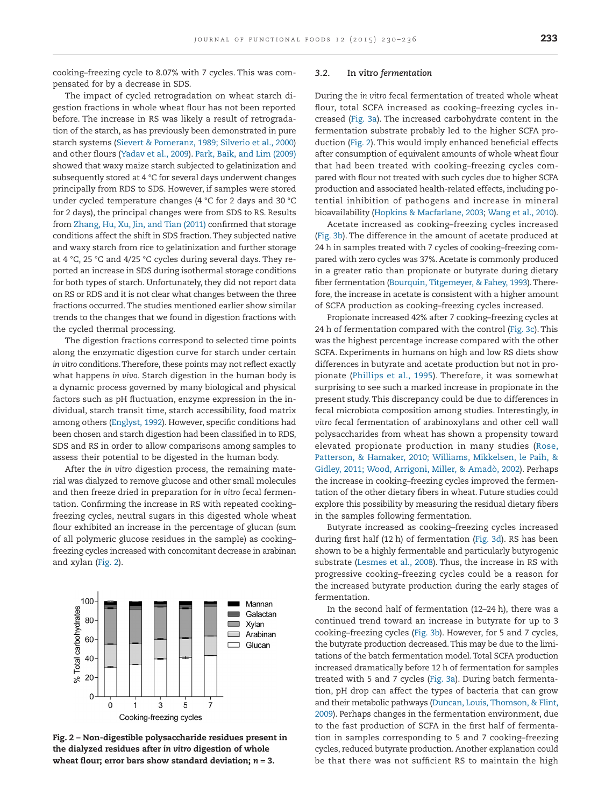cooking–freezing cycle to 8.07% with 7 cycles. This was compensated for by a decrease in SDS.

The impact of cycled retrogradation on wheat starch digestion fractions in whole wheat flour has not been reported before. The increase in RS was likely a result of retrogradation of the starch, as has previously been demonstrated in pure starch systems [\(Sievert & Pomeranz, 1989; Silverio et al., 2000\)](#page-7-5) and other flours [\(Yadav et al., 2009\)](#page-7-4). [Park, Baik, and Lim \(2009\)](#page-6-20) showed that waxy maize starch subjected to gelatinization and subsequently stored at 4 °C for several days underwent changes principally from RDS to SDS. However, if samples were stored under cycled temperature changes (4 °C for 2 days and 30 °C for 2 days), the principal changes were from SDS to RS. Results from [Zhang, Hu, Xu, Jin, and Tian \(2011\)](#page-7-6) confirmed that storage conditions affect the shift in SDS fraction.They subjected native and waxy starch from rice to gelatinization and further storage at 4 °C, 25 °C and 4/25 °C cycles during several days. They reported an increase in SDS during isothermal storage conditions for both types of starch. Unfortunately, they did not report data on RS or RDS and it is not clear what changes between the three fractions occurred. The studies mentioned earlier show similar trends to the changes that we found in digestion fractions with the cycled thermal processing.

The digestion fractions correspond to selected time points along the enzymatic digestion curve for starch under certain *in vitro* conditions.Therefore, these points may not reflect exactly what happens *in vivo.* Starch digestion in the human body is a dynamic process governed by many biological and physical factors such as pH fluctuation, enzyme expression in the individual, starch transit time, starch accessibility, food matrix among others [\(Englyst, 1992\)](#page-6-21). However, specific conditions had been chosen and starch digestion had been classified in to RDS, SDS and RS in order to allow comparisons among samples to assess their potential to be digested in the human body.

After the *in vitro* digestion process, the remaining material was dialyzed to remove glucose and other small molecules and then freeze dried in preparation for *in vitro* fecal fermentation. Confirming the increase in RS with repeated cooking– freezing cycles, neutral sugars in this digested whole wheat flour exhibited an increase in the percentage of glucan (sum of all polymeric glucose residues in the sample) as cooking– freezing cycles increased with concomitant decrease in arabinan and xylan (Fig. 2).



**Fig. 2 – Non-digestible polysaccharide residues present in the dialyzed residues after** *in vitro* **digestion of whole wheat flour; error bars show standard deviation;** *n* **= 3.**

#### *3.2.* **In vitro** *fermentation*

During the *in vitro* fecal fermentation of treated whole wheat flour, total SCFA increased as cooking–freezing cycles increased [\(Fig. 3a\)](#page-5-0). The increased carbohydrate content in the fermentation substrate probably led to the higher SCFA production (Fig. 2). This would imply enhanced beneficial effects after consumption of equivalent amounts of whole wheat flour that had been treated with cooking–freezing cycles compared with flour not treated with such cycles due to higher SCFA production and associated health-related effects, including potential inhibition of pathogens and increase in mineral bioavailability [\(Hopkins & Macfarlane, 2003;](#page-6-4) [Wang et al., 2010\)](#page-7-7).

Acetate increased as cooking–freezing cycles increased [\(Fig. 3b\)](#page-5-0). The difference in the amount of acetate produced at 24 h in samples treated with 7 cycles of cooking–freezing compared with zero cycles was 37%. Acetate is commonly produced in a greater ratio than propionate or butyrate during dietary fiber fermentation [\(Bourquin, Titgemeyer, & Fahey, 1993\)](#page-6-22). Therefore, the increase in acetate is consistent with a higher amount of SCFA production as cooking–freezing cycles increased.

Propionate increased 42% after 7 cooking–freezing cycles at 24 h of fermentation compared with the control [\(Fig. 3c\)](#page-5-0). This was the highest percentage increase compared with the other SCFA. Experiments in humans on high and low RS diets show differences in butyrate and acetate production but not in propionate [\(Phillips et al., 1995\)](#page-6-23). Therefore, it was somewhat surprising to see such a marked increase in propionate in the present study. This discrepancy could be due to differences in fecal microbiota composition among studies. Interestingly, *in vitro* fecal fermentation of arabinoxylans and other cell wall polysaccharides from wheat has shown a propensity toward elevated propionate production in many studies [\(Rose,](#page-6-24) [Patterson, & Hamaker, 2010; Williams, Mikkelsen, le Paih, &](#page-6-24) [Gidley, 2011; Wood, Arrigoni, Miller, & Amadò, 2002\)](#page-6-24). Perhaps the increase in cooking–freezing cycles improved the fermentation of the other dietary fibers in wheat. Future studies could explore this possibility by measuring the residual dietary fibers in the samples following fermentation.

Butyrate increased as cooking–freezing cycles increased during first half (12 h) of fermentation [\(Fig. 3d\)](#page-5-0). RS has been shown to be a highly fermentable and particularly butyrogenic substrate [\(Lesmes et al., 2008\)](#page-6-8). Thus, the increase in RS with progressive cooking–freezing cycles could be a reason for the increased butyrate production during the early stages of fermentation.

In the second half of fermentation (12–24 h), there was a continued trend toward an increase in butyrate for up to 3 cooking–freezing cycles [\(Fig. 3b\)](#page-5-0). However, for 5 and 7 cycles, the butyrate production decreased.This may be due to the limitations of the batch fermentation model.Total SCFA production increased dramatically before 12 h of fermentation for samples treated with 5 and 7 cycles [\(Fig. 3a\)](#page-5-0). During batch fermentation, pH drop can affect the types of bacteria that can grow and their metabolic pathways [\(Duncan, Louis, Thomson, & Flint,](#page-6-25) [2009\)](#page-6-25). Perhaps changes in the fermentation environment, due to the fast production of SCFA in the first half of fermentation in samples corresponding to 5 and 7 cooking–freezing cycles, reduced butyrate production. Another explanation could be that there was not sufficient RS to maintain the high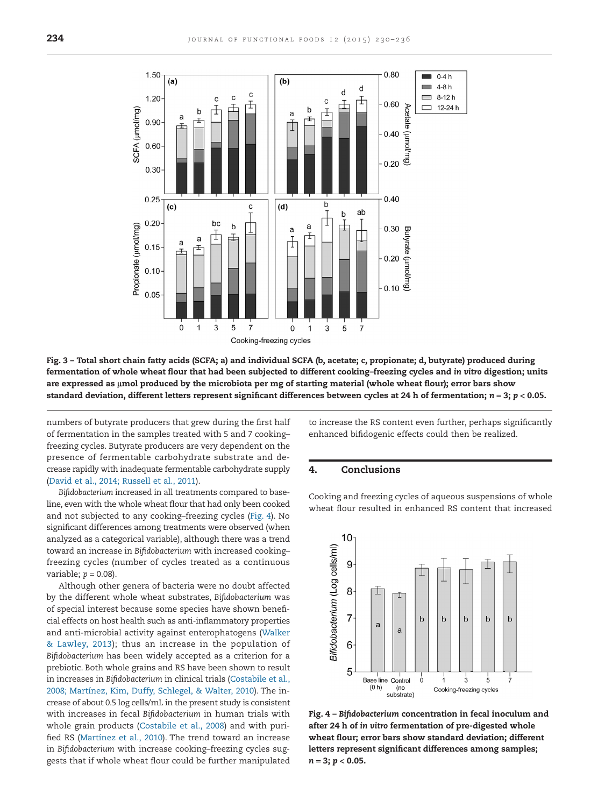<span id="page-5-0"></span>

**Fig. 3 – Total short chain fatty acids (SCFA; a) and individual SCFA (b, acetate; c, propionate; d, butyrate) produced during fermentation of whole wheat flour that had been subjected to different cooking–freezing cycles and** *in vitro* **digestion; units** are expressed as µmol produced by the microbiota per mg of starting material (whole wheat flour); error bars show **standard deviation, different letters represent significant differences between cycles at 24 h of fermentation;** *n* **= 3;** *p* **< 0.05.**

numbers of butyrate producers that grew during the first half of fermentation in the samples treated with 5 and 7 cooking– freezing cycles. Butyrate producers are very dependent on the presence of fermentable carbohydrate substrate and decrease rapidly with inadequate fermentable carbohydrate supply [\(David et al., 2014; Russell et al., 2011\)](#page-6-26).

*Bifidobacterium* increased in all treatments compared to baseline, even with the whole wheat flour that had only been cooked and not subjected to any cooking–freezing cycles (Fig. 4). No significant differences among treatments were observed (when analyzed as a categorical variable), although there was a trend toward an increase in *Bifidobacterium* with increased cooking– freezing cycles (number of cycles treated as a continuous variable;  $p = 0.08$ ).

Although other genera of bacteria were no doubt affected by the different whole wheat substrates, *Bifidobacterium* was of special interest because some species have shown beneficial effects on host health such as anti-inflammatory properties and anti-microbial activity against enterophatogens [\(Walker](#page-7-8) [& Lawley, 2013\)](#page-7-8); thus an increase in the population of *Bifidobacterium* has been widely accepted as a criterion for a prebiotic. Both whole grains and RS have been shown to result in increases in *Bifidobacterium* in clinical trials [\(Costabile et al.,](#page-6-27) [2008; Martínez, Kim, Duffy, Schlegel, & Walter, 2010\)](#page-6-27). The increase of about 0.5 log cells/mL in the present study is consistent with increases in fecal *Bifidobacterium* in human trials with whole grain products [\(Costabile et al., 2008\)](#page-6-27) and with purified RS [\(Martínez et al., 2010\)](#page-6-28). The trend toward an increase in *Bifidobacterium* with increase cooking–freezing cycles suggests that if whole wheat flour could be further manipulated

to increase the RS content even further, perhaps significantly enhanced bifidogenic effects could then be realized.

#### **4. Conclusions**

Cooking and freezing cycles of aqueous suspensions of whole wheat flour resulted in enhanced RS content that increased



**Fig. 4 –** *Bifidobacterium* **concentration in fecal inoculum and after 24 h of** *in vitro* **fermentation of pre-digested whole wheat flour; error bars show standard deviation; different letters represent significant differences among samples;** *n* **= 3;** *p* **< 0.05.**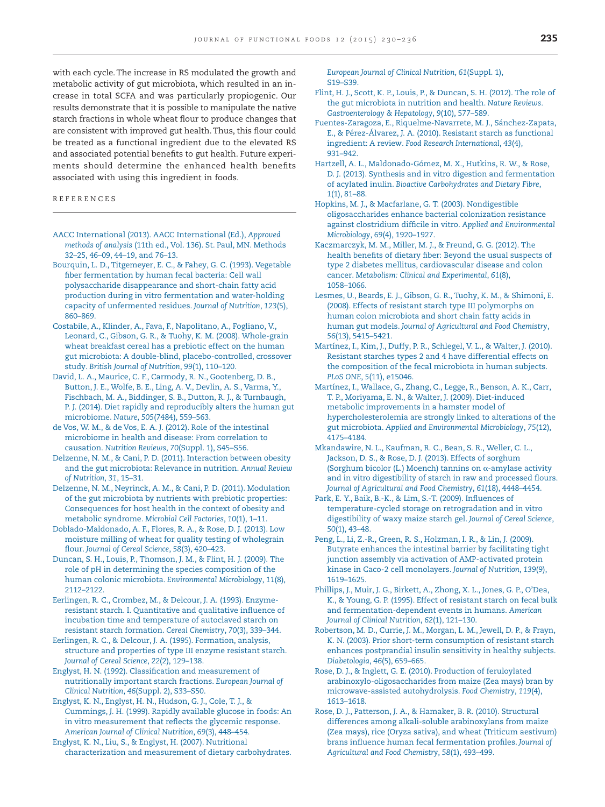with each cycle. The increase in RS modulated the growth and metabolic activity of gut microbiota, which resulted in an increase in total SCFA and was particularly propiogenic. Our results demonstrate that it is possible to manipulate the native starch fractions in whole wheat flour to produce changes that are consistent with improved gut health. Thus, this flour could be treated as a functional ingredient due to the elevated RS and associated potential benefits to gut health. Future experiments should determine the enhanced health benefits associated with using this ingredient in foods.

#### REFERENCES

- <span id="page-6-14"></span>[AACC International \(2013\). AACC International \(Ed.\),](http://refhub.elsevier.com/S1756-4646(14)00373-9/sr0010) *Approved methods of analysis* [\(11th ed., Vol. 136\). St. Paul, MN. Methods](http://refhub.elsevier.com/S1756-4646(14)00373-9/sr0010) [32–25, 46–09, 44–19, and 76–13.](http://refhub.elsevier.com/S1756-4646(14)00373-9/sr0010)
- <span id="page-6-22"></span>[Bourquin, L. D., Titgemeyer, E. C., & Fahey, G. C. \(1993\). Vegetable](http://refhub.elsevier.com/S1756-4646(14)00373-9/sr0015) [fiber fermentation by human fecal bacteria: Cell wall](http://refhub.elsevier.com/S1756-4646(14)00373-9/sr0015) [polysaccharide disappearance and short-chain fatty acid](http://refhub.elsevier.com/S1756-4646(14)00373-9/sr0015) [production during in vitro fermentation and water-holding](http://refhub.elsevier.com/S1756-4646(14)00373-9/sr0015) [capacity of unfermented residues.](http://refhub.elsevier.com/S1756-4646(14)00373-9/sr0015) *Journal of Nutrition*, *123*(5), [860–869.](http://refhub.elsevier.com/S1756-4646(14)00373-9/sr0015)
- <span id="page-6-27"></span>[Costabile, A., Klinder, A., Fava, F., Napolitano, A., Fogliano, V.,](http://refhub.elsevier.com/S1756-4646(14)00373-9/sr0020) [Leonard, C., Gibson, G. R., & Tuohy, K. M. \(2008\). Whole-grain](http://refhub.elsevier.com/S1756-4646(14)00373-9/sr0020) [wheat breakfast cereal has a prebiotic effect on the human](http://refhub.elsevier.com/S1756-4646(14)00373-9/sr0020) [gut microbiota: A double-blind, placebo-controlled, crossover](http://refhub.elsevier.com/S1756-4646(14)00373-9/sr0020) study. *[British Journal of Nutrition](http://refhub.elsevier.com/S1756-4646(14)00373-9/sr0020)*, *99*(1), 110–120.
- <span id="page-6-26"></span>[David, L. A., Maurice, C. F., Carmody, R. N., Gootenberg, D. B.,](http://refhub.elsevier.com/S1756-4646(14)00373-9/sr9010) [Button, J. E., Wolfe, B. E., Ling, A. V., Devlin, A. S., Varma, Y.,](http://refhub.elsevier.com/S1756-4646(14)00373-9/sr9010) [Fischbach, M. A., Biddinger, S. B., Dutton, R. J., & Turnbaugh,](http://refhub.elsevier.com/S1756-4646(14)00373-9/sr9010) [P. J. \(2014\). Diet rapidly and reproducibly alters the human gut](http://refhub.elsevier.com/S1756-4646(14)00373-9/sr9010) microbiome. *Nature*, *505*[\(7484\), 559–563.](http://refhub.elsevier.com/S1756-4646(14)00373-9/sr9010)
- <span id="page-6-1"></span>[de Vos, W. M., & de Vos, E. A. J. \(2012\). Role of the intestinal](http://refhub.elsevier.com/S1756-4646(14)00373-9/sr0025) [microbiome in health and disease: From correlation to](http://refhub.elsevier.com/S1756-4646(14)00373-9/sr0025) causation. *Nutrition Reviews*, *70*[\(Suppl. 1\), S45–S56.](http://refhub.elsevier.com/S1756-4646(14)00373-9/sr0025)
- <span id="page-6-3"></span>[Delzenne, N. M., & Cani, P. D. \(2011\). Interaction between obesity](http://refhub.elsevier.com/S1756-4646(14)00373-9/sr0030) [and the gut microbiota: Relevance in nutrition.](http://refhub.elsevier.com/S1756-4646(14)00373-9/sr0030) *Annual Review [of Nutrition](http://refhub.elsevier.com/S1756-4646(14)00373-9/sr0030)*, *31*, 15–31.
- <span id="page-6-2"></span>[Delzenne, N. M., Neyrinck, A. M., & Cani, P. D. \(2011\). Modulation](http://refhub.elsevier.com/S1756-4646(14)00373-9/sr0035) [of the gut microbiota by nutrients with prebiotic properties:](http://refhub.elsevier.com/S1756-4646(14)00373-9/sr0035) [Consequences for host health in the context of obesity and](http://refhub.elsevier.com/S1756-4646(14)00373-9/sr0035) [metabolic syndrome.](http://refhub.elsevier.com/S1756-4646(14)00373-9/sr0035) *Microbial Cell Factories*, *10*(1), 1–11.
- <span id="page-6-13"></span>[Doblado-Maldonado, A. F., Flores, R. A., & Rose, D. J. \(2013\). Low](http://refhub.elsevier.com/S1756-4646(14)00373-9/sr0040) [moisture milling of wheat for quality testing of wholegrain](http://refhub.elsevier.com/S1756-4646(14)00373-9/sr0040) flour. *[Journal of Cereal Science](http://refhub.elsevier.com/S1756-4646(14)00373-9/sr0040)*, *58*(3), 420–423.
- <span id="page-6-25"></span>[Duncan, S. H., Louis, P., Thomson, J. M., & Flint, H. J. \(2009\). The](http://refhub.elsevier.com/S1756-4646(14)00373-9/sr0045) [role of pH in determining the species composition of the](http://refhub.elsevier.com/S1756-4646(14)00373-9/sr0045) [human colonic microbiota.](http://refhub.elsevier.com/S1756-4646(14)00373-9/sr0045) *Environmental Microbiology*, *11*(8), [2112–2122.](http://refhub.elsevier.com/S1756-4646(14)00373-9/sr0045)
- <span id="page-6-11"></span>[Eerlingen, R. C., Crombez, M., & Delcour, J. A. \(1993\). Enzyme](http://refhub.elsevier.com/S1756-4646(14)00373-9/sr0050)[resistant starch. I. Quantitative and qualitative influence of](http://refhub.elsevier.com/S1756-4646(14)00373-9/sr0050) [incubation time and temperature of autoclaved starch on](http://refhub.elsevier.com/S1756-4646(14)00373-9/sr0050) [resistant starch formation.](http://refhub.elsevier.com/S1756-4646(14)00373-9/sr0050) *Cereal Chemistry*, *70*(3), 339–344.
- <span id="page-6-12"></span>[Eerlingen, R. C., & Delcour, J. A. \(1995\). Formation, analysis,](http://refhub.elsevier.com/S1756-4646(14)00373-9/sr0055) [structure and properties of type III enzyme resistant starch.](http://refhub.elsevier.com/S1756-4646(14)00373-9/sr0055) *[Journal of Cereal Science](http://refhub.elsevier.com/S1756-4646(14)00373-9/sr0055)*, *22*(2), 129–138.
- <span id="page-6-21"></span>[Englyst, H. N. \(1992\). Classification and measurement of](http://refhub.elsevier.com/S1756-4646(14)00373-9/sr0060) [nutritionally important starch fractions.](http://refhub.elsevier.com/S1756-4646(14)00373-9/sr0060) *European Journal of Clinical Nutrition*, *46*[\(Suppl. 2\), S33–S50.](http://refhub.elsevier.com/S1756-4646(14)00373-9/sr0060)
- <span id="page-6-15"></span>[Englyst, K. N., Englyst, H. N., Hudson, G. J., Cole, T. J., &](http://refhub.elsevier.com/S1756-4646(14)00373-9/sr0065) [Cummings, J. H. \(1999\). Rapidly available glucose in foods: An](http://refhub.elsevier.com/S1756-4646(14)00373-9/sr0065) [in vitro measurement that reflects the glycemic response.](http://refhub.elsevier.com/S1756-4646(14)00373-9/sr0065) *[American Journal of Clinical Nutrition](http://refhub.elsevier.com/S1756-4646(14)00373-9/sr0065)*, *69*(3), 448–454.
- <span id="page-6-7"></span>[Englyst, K. N., Liu, S., & Englyst, H. \(2007\). Nutritional](http://refhub.elsevier.com/S1756-4646(14)00373-9/sr0070) [characterization and measurement of dietary carbohydrates.](http://refhub.elsevier.com/S1756-4646(14)00373-9/sr0070)

*[European Journal of Clinical Nutrition](http://refhub.elsevier.com/S1756-4646(14)00373-9/sr0070)*, *61*(Suppl. 1), [S19–S39.](http://refhub.elsevier.com/S1756-4646(14)00373-9/sr0070)

- <span id="page-6-0"></span>[Flint, H. J., Scott, K. P., Louis, P., & Duncan, S. H. \(2012\). The role of](http://refhub.elsevier.com/S1756-4646(14)00373-9/sr0075) [the gut microbiota in nutrition and health.](http://refhub.elsevier.com/S1756-4646(14)00373-9/sr0075) *Nature Reviews. [Gastroenterology & Hepatology](http://refhub.elsevier.com/S1756-4646(14)00373-9/sr0075)*, *9*(10), 577–589.
- <span id="page-6-9"></span>[Fuentes-Zaragoza, E., Riquelme-Navarrete, M. J., Sánchez-Zapata,](http://refhub.elsevier.com/S1756-4646(14)00373-9/sr0080) [E., & Pérez-Álvarez, J. A. \(2010\). Resistant starch as functional](http://refhub.elsevier.com/S1756-4646(14)00373-9/sr0080) ingredient: A review. *[Food Research International](http://refhub.elsevier.com/S1756-4646(14)00373-9/sr0080)*, *43*(4), [931–942.](http://refhub.elsevier.com/S1756-4646(14)00373-9/sr0080)
- <span id="page-6-18"></span>[Hartzell, A. L., Maldonado-Gómez, M. X., Hutkins, R. W., & Rose,](http://refhub.elsevier.com/S1756-4646(14)00373-9/sr0085) [D. J. \(2013\). Synthesis and in vitro digestion and fermentation](http://refhub.elsevier.com/S1756-4646(14)00373-9/sr0085) of acylated inulin. *[Bioactive Carbohydrates and Dietary Fibre](http://refhub.elsevier.com/S1756-4646(14)00373-9/sr0085)*, *1*[\(1\), 81–88.](http://refhub.elsevier.com/S1756-4646(14)00373-9/sr0085)
- <span id="page-6-4"></span>[Hopkins, M. J., & Macfarlane, G. T. \(2003\). Nondigestible](http://refhub.elsevier.com/S1756-4646(14)00373-9/sr0090) [oligosaccharides enhance bacterial colonization resistance](http://refhub.elsevier.com/S1756-4646(14)00373-9/sr0090) [against clostridium difficile in vitro.](http://refhub.elsevier.com/S1756-4646(14)00373-9/sr0090) *Applied and Environmental Microbiology*, *69*[\(4\), 1920–1927.](http://refhub.elsevier.com/S1756-4646(14)00373-9/sr0090)
- <span id="page-6-5"></span>[Kaczmarczyk, M. M., Miller, M. J., & Freund, G. G. \(2012\). The](http://refhub.elsevier.com/S1756-4646(14)00373-9/sr0095) [health benefits of dietary fiber: Beyond the usual suspects of](http://refhub.elsevier.com/S1756-4646(14)00373-9/sr0095) [type 2 diabetes mellitus, cardiovascular disease and colon](http://refhub.elsevier.com/S1756-4646(14)00373-9/sr0095) cancer. *[Metabolism: Clinical and Experimental](http://refhub.elsevier.com/S1756-4646(14)00373-9/sr0095)*, *61*(8), [1058–1066.](http://refhub.elsevier.com/S1756-4646(14)00373-9/sr0095)
- <span id="page-6-8"></span>[Lesmes, U., Beards, E. J., Gibson, G. R., Tuohy, K. M., & Shimoni, E.](http://refhub.elsevier.com/S1756-4646(14)00373-9/sr0100) [\(2008\). Effects of resistant starch type III polymorphs on](http://refhub.elsevier.com/S1756-4646(14)00373-9/sr0100) [human colon microbiota and short chain fatty acids in](http://refhub.elsevier.com/S1756-4646(14)00373-9/sr0100) human gut models. *[Journal of Agricultural and Food Chemistry](http://refhub.elsevier.com/S1756-4646(14)00373-9/sr0100)*, *56*[\(13\), 5415–5421.](http://refhub.elsevier.com/S1756-4646(14)00373-9/sr0100)
- <span id="page-6-28"></span>[Martínez, I., Kim, J., Duffy, P. R., Schlegel, V. L., & Walter, J. \(2010\).](http://refhub.elsevier.com/S1756-4646(14)00373-9/sr0105) [Resistant starches types 2 and 4 have differential effects on](http://refhub.elsevier.com/S1756-4646(14)00373-9/sr0105) [the composition of the fecal microbiota in human subjects.](http://refhub.elsevier.com/S1756-4646(14)00373-9/sr0105) *PLoS ONE*, *5*[\(11\), e15046.](http://refhub.elsevier.com/S1756-4646(14)00373-9/sr0105)
- <span id="page-6-19"></span>[Martínez, I., Wallace, G., Zhang, C., Legge, R., Benson, A. K., Carr,](http://refhub.elsevier.com/S1756-4646(14)00373-9/sr0110) [T. P., Moriyama, E. N., & Walter, J. \(2009\). Diet-induced](http://refhub.elsevier.com/S1756-4646(14)00373-9/sr0110) [metabolic improvements in a hamster model of](http://refhub.elsevier.com/S1756-4646(14)00373-9/sr0110) [hypercholesterolemia are strongly linked to alterations of the](http://refhub.elsevier.com/S1756-4646(14)00373-9/sr0110) gut microbiota. *[Applied and Environmental Microbiology](http://refhub.elsevier.com/S1756-4646(14)00373-9/sr0110)*, *75*(12), [4175–4184.](http://refhub.elsevier.com/S1756-4646(14)00373-9/sr0110)
- <span id="page-6-16"></span>[Mkandawire, N. L., Kaufman, R. C., Bean, S. R., Weller, C. L.,](http://refhub.elsevier.com/S1756-4646(14)00373-9/sr0115) [Jackson, D. S., & Rose, D. J. \(2013\). Effects of sorghum](http://refhub.elsevier.com/S1756-4646(14)00373-9/sr0115) [\(Sorghum bicolor \(L.\) Moench\) tannins on](http://refhub.elsevier.com/S1756-4646(14)00373-9/sr0115)  $\alpha$ -amylase activity [and in vitro digestibility of starch in raw and processed flours.](http://refhub.elsevier.com/S1756-4646(14)00373-9/sr0115) *[Journal of Agricultural and Food Chemistry](http://refhub.elsevier.com/S1756-4646(14)00373-9/sr0115)*, *61*(18), 4448–4454.
- <span id="page-6-20"></span>[Park, E. Y., Baik, B.-K., & Lim, S.-T. \(2009\). Influences of](http://refhub.elsevier.com/S1756-4646(14)00373-9/sr0120) [temperature-cycled storage on retrogradation and in vitro](http://refhub.elsevier.com/S1756-4646(14)00373-9/sr0120) [digestibility of waxy maize starch gel.](http://refhub.elsevier.com/S1756-4646(14)00373-9/sr0120) *Journal of Cereal Science*, *50*[\(1\), 43–48.](http://refhub.elsevier.com/S1756-4646(14)00373-9/sr0120)
- <span id="page-6-6"></span>[Peng, L., Li, Z.-R., Green, R. S., Holzman, I. R., & Lin, J. \(2009\).](http://refhub.elsevier.com/S1756-4646(14)00373-9/sr0125) [Butyrate enhances the intestinal barrier by facilitating tight](http://refhub.elsevier.com/S1756-4646(14)00373-9/sr0125) [junction assembly via activation of AMP-activated protein](http://refhub.elsevier.com/S1756-4646(14)00373-9/sr0125) [kinase in Caco-2 cell monolayers.](http://refhub.elsevier.com/S1756-4646(14)00373-9/sr0125) *Journal of Nutrition*, *139*(9), [1619–1625.](http://refhub.elsevier.com/S1756-4646(14)00373-9/sr0125)
- <span id="page-6-23"></span>[Phillips, J., Muir, J. G., Birkett, A., Zhong, X. L., Jones, G. P., O'Dea,](http://refhub.elsevier.com/S1756-4646(14)00373-9/sr0130) [K., & Young, G. P. \(1995\). Effect of resistant starch on fecal bulk](http://refhub.elsevier.com/S1756-4646(14)00373-9/sr0130) [and fermentation-dependent events in humans.](http://refhub.elsevier.com/S1756-4646(14)00373-9/sr0130) *American [Journal of Clinical Nutrition](http://refhub.elsevier.com/S1756-4646(14)00373-9/sr0130)*, *62*(1), 121–130.
- <span id="page-6-10"></span>[Robertson, M. D., Currie, J. M., Morgan, L. M., Jewell, D. P., & Frayn,](http://refhub.elsevier.com/S1756-4646(14)00373-9/sr0135) [K. N. \(2003\). Prior short-term consumption of resistant starch](http://refhub.elsevier.com/S1756-4646(14)00373-9/sr0135) [enhances postprandial insulin sensitivity in healthy subjects.](http://refhub.elsevier.com/S1756-4646(14)00373-9/sr0135) *Diabetologia*, *46*[\(5\), 659–665.](http://refhub.elsevier.com/S1756-4646(14)00373-9/sr0135)
- <span id="page-6-17"></span>[Rose, D. J., & Inglett, G. E. \(2010\). Production of feruloylated](http://refhub.elsevier.com/S1756-4646(14)00373-9/sr0140) [arabinoxylo-oligosaccharides from maize \(Zea mays\) bran by](http://refhub.elsevier.com/S1756-4646(14)00373-9/sr0140) [microwave-assisted autohydrolysis.](http://refhub.elsevier.com/S1756-4646(14)00373-9/sr0140) *Food Chemistry*, *119*(4), [1613–1618.](http://refhub.elsevier.com/S1756-4646(14)00373-9/sr0140)
- <span id="page-6-24"></span>[Rose, D. J., Patterson, J. A., & Hamaker, B. R. \(2010\). Structural](http://refhub.elsevier.com/S1756-4646(14)00373-9/sr0145) [differences among alkali-soluble arabinoxylans from maize](http://refhub.elsevier.com/S1756-4646(14)00373-9/sr0145) [\(Zea mays\), rice \(Oryza sativa\), and wheat \(Triticum aestivum\)](http://refhub.elsevier.com/S1756-4646(14)00373-9/sr0145) [brans influence human fecal fermentation profiles.](http://refhub.elsevier.com/S1756-4646(14)00373-9/sr0145) *Journal of [Agricultural and Food Chemistry](http://refhub.elsevier.com/S1756-4646(14)00373-9/sr0145)*, *58*(1), 493–499.